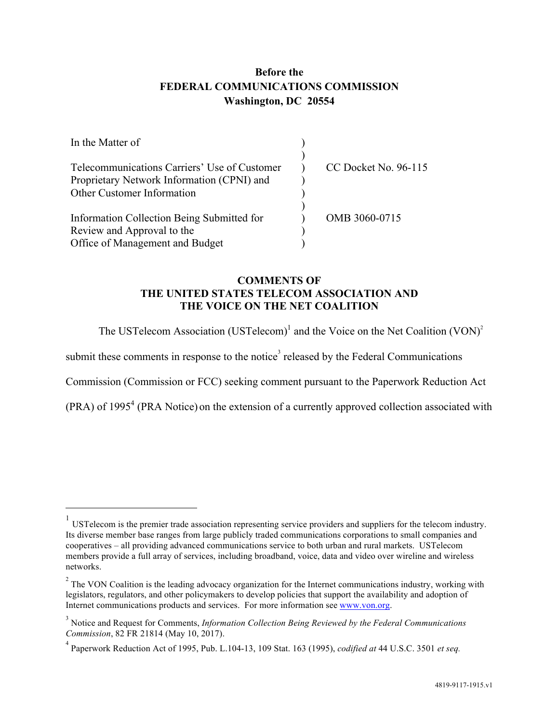## **Before the FEDERAL COMMUNICATIONS COMMISSION Washington, DC 20554**

| In the Matter of                             |                      |
|----------------------------------------------|----------------------|
|                                              |                      |
| Telecommunications Carriers' Use of Customer | CC Docket No. 96-115 |
| Proprietary Network Information (CPNI) and   |                      |
| Other Customer Information                   |                      |
| Information Collection Being Submitted for   | OMB 3060-0715        |
|                                              |                      |
| Review and Approval to the                   |                      |
| Office of Management and Budget              |                      |

### **COMMENTS OF THE UNITED STATES TELECOM ASSOCIATION AND THE VOICE ON THE NET COALITION**

The USTelecom Association (USTelecom)<sup>1</sup> and the Voice on the Net Coalition (VON)<sup>2</sup>

submit these comments in response to the notice<sup>3</sup> released by the Federal Communications

Commission (Commission or FCC) seeking comment pursuant to the Paperwork Reduction Act

 $(PRA)$  of 1995<sup>4</sup> (PRA Notice) on the extension of a currently approved collection associated with

 $\frac{1}{1}$ USTelecom is the premier trade association representing service providers and suppliers for the telecom industry. Its diverse member base ranges from large publicly traded communications corporations to small companies and cooperatives – all providing advanced communications service to both urban and rural markets. USTelecom members provide a full array of services, including broadband, voice, data and video over wireline and wireless networks.

 $2^{2}$  The VON Coalition is the leading advocacy organization for the Internet communications industry, working with legislators, regulators, and other policymakers to develop policies that support the availability and adoption of Internet communications products and services. For more information see www.von.org.

<sup>&</sup>lt;sup>3</sup> Notice and Request for Comments, *Information Collection Being Reviewed by the Federal Communications Commission*, 82 FR 21814 (May 10, 2017).

Paperwork Reduction Act of 1995, Pub. L.104-13, 109 Stat. 163 (1995), *codified at* 44 U.S.C. 3501 *et seq.*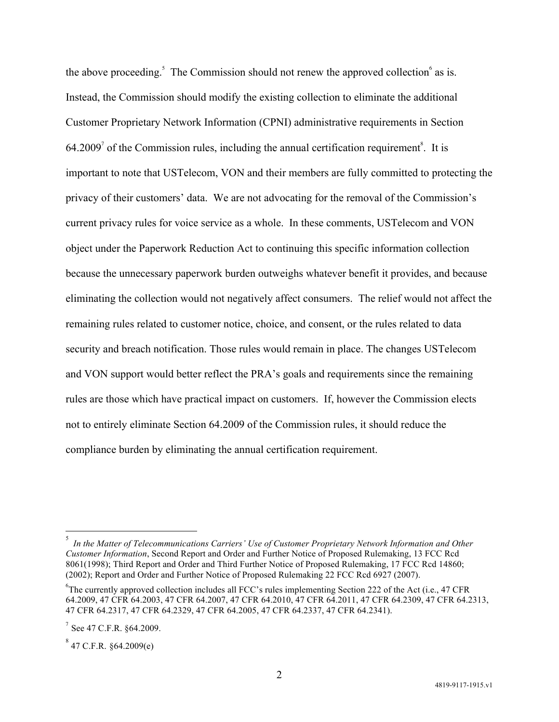the above proceeding.<sup>5</sup> The Commission should not renew the approved collection  $6$  as is. Instead, the Commission should modify the existing collection to eliminate the additional Customer Proprietary Network Information (CPNI) administrative requirements in Section  $64.2009<sup>7</sup>$  of the Commission rules, including the annual certification requirement<sup>8</sup>. It is important to note that USTelecom, VON and their members are fully committed to protecting the privacy of their customers' data. We are not advocating for the removal of the Commission's current privacy rules for voice service as a whole. In these comments, USTelecom and VON object under the Paperwork Reduction Act to continuing this specific information collection because the unnecessary paperwork burden outweighs whatever benefit it provides, and because eliminating the collection would not negatively affect consumers. The relief would not affect the remaining rules related to customer notice, choice, and consent, or the rules related to data security and breach notification. Those rules would remain in place. The changes USTelecom and VON support would better reflect the PRA's goals and requirements since the remaining rules are those which have practical impact on customers. If, however the Commission elects not to entirely eliminate Section 64.2009 of the Commission rules, it should reduce the compliance burden by eliminating the annual certification requirement.

 $\frac{1}{5}$ *In the Matter of Telecommunications Carriers' Use of Customer Proprietary Network Information and Other Customer Information*, Second Report and Order and Further Notice of Proposed Rulemaking, 13 FCC Rcd 8061(1998); Third Report and Order and Third Further Notice of Proposed Rulemaking, 17 FCC Rcd 14860; (2002); Report and Order and Further Notice of Proposed Rulemaking 22 FCC Rcd 6927 (2007).

<sup>&</sup>lt;sup>6</sup>The currently approved collection includes all FCC's rules implementing Section 222 of the Act (i.e., 47 CFR 64.2009, 47 CFR 64.2003, 47 CFR 64.2007, 47 CFR 64.2010, 47 CFR 64.2011, 47 CFR 64.2309, 47 CFR 64.2313, 47 CFR 64.2317, 47 CFR 64.2329, 47 CFR 64.2005, 47 CFR 64.2337, 47 CFR 64.2341).

 $7$  See 47 C.F.R. §64.2009.

 $8^8$  47 C.F.R. §64.2009(e)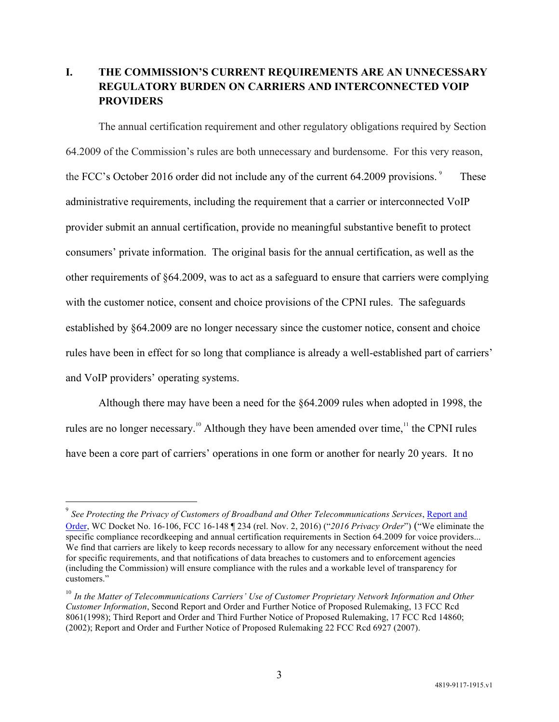## **I. THE COMMISSION'S CURRENT REQUIREMENTS ARE AN UNNECESSARY REGULATORY BURDEN ON CARRIERS AND INTERCONNECTED VOIP PROVIDERS**

The annual certification requirement and other regulatory obligations required by Section 64.2009 of the Commission's rules are both unnecessary and burdensome. For this very reason, the FCC's October 2016 order did not include any of the current 64.2009 provisions.<sup>9</sup> These administrative requirements, including the requirement that a carrier or interconnected VoIP provider submit an annual certification, provide no meaningful substantive benefit to protect consumers' private information. The original basis for the annual certification, as well as the other requirements of §64.2009, was to act as a safeguard to ensure that carriers were complying with the customer notice, consent and choice provisions of the CPNI rules. The safeguards established by §64.2009 are no longer necessary since the customer notice, consent and choice rules have been in effect for so long that compliance is already a well-established part of carriers' and VoIP providers' operating systems.

Although there may have been a need for the §64.2009 rules when adopted in 1998, the rules are no longer necessary.<sup>10</sup> Although they have been amended over time,<sup>11</sup> the CPNI rules have been a core part of carriers' operations in one form or another for nearly 20 years. It no

 $\overline{a}$ 

<sup>9</sup> *See Protecting the Privacy of Customers of Broadband and Other Telecommunications Services*, Report and Order, WC Docket No. 16-106, FCC 16-148 ¶ 234 (rel. Nov. 2, 2016) ("*2016 Privacy Order*") ("We eliminate the specific compliance recordkeeping and annual certification requirements in Section 64.2009 for voice providers... We find that carriers are likely to keep records necessary to allow for any necessary enforcement without the need for specific requirements, and that notifications of data breaches to customers and to enforcement agencies (including the Commission) will ensure compliance with the rules and a workable level of transparency for customers."

<sup>&</sup>lt;sup>10</sup> In the Matter of Telecommunications Carriers' Use of Customer Proprietary Network Information and Other *Customer Information*, Second Report and Order and Further Notice of Proposed Rulemaking, 13 FCC Rcd 8061(1998); Third Report and Order and Third Further Notice of Proposed Rulemaking, 17 FCC Rcd 14860; (2002); Report and Order and Further Notice of Proposed Rulemaking 22 FCC Rcd 6927 (2007).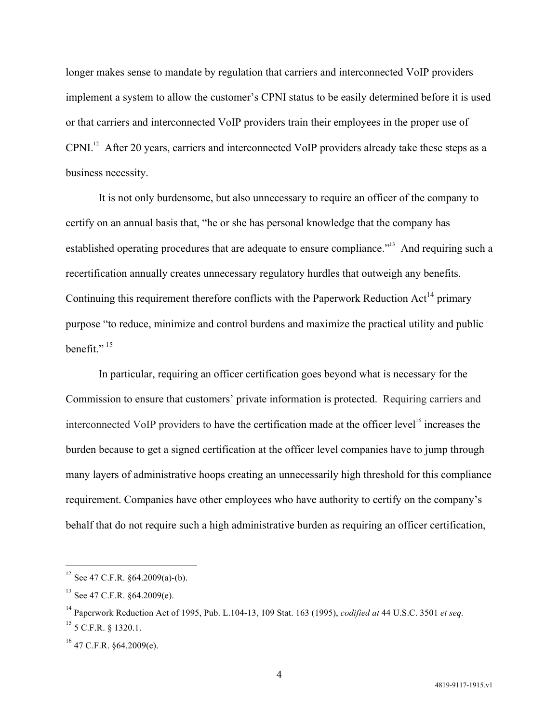longer makes sense to mandate by regulation that carriers and interconnected VoIP providers implement a system to allow the customer's CPNI status to be easily determined before it is used or that carriers and interconnected VoIP providers train their employees in the proper use of CPNI.<sup>12</sup> After 20 years, carriers and interconnected VoIP providers already take these steps as a business necessity.

It is not only burdensome, but also unnecessary to require an officer of the company to certify on an annual basis that, "he or she has personal knowledge that the company has established operating procedures that are adequate to ensure compliance.<sup>"13</sup> And requiring such a recertification annually creates unnecessary regulatory hurdles that outweigh any benefits. Continuing this requirement therefore conflicts with the Paperwork Reduction Act<sup>14</sup> primary purpose "to reduce, minimize and control burdens and maximize the practical utility and public benefit." $15$ 

In particular, requiring an officer certification goes beyond what is necessary for the Commission to ensure that customers' private information is protected. Requiring carriers and interconnected VoIP providers to have the certification made at the officer level<sup>16</sup> increases the burden because to get a signed certification at the officer level companies have to jump through many layers of administrative hoops creating an unnecessarily high threshold for this compliance requirement. Companies have other employees who have authority to certify on the company's behalf that do not require such a high administrative burden as requiring an officer certification,

 $\overline{a}$ 

 $12$  See 47 C.F.R. §64.2009(a)-(b).

 $13$  See 47 C.F.R.  $§64.2009(e)$ .

<sup>14</sup> Paperwork Reduction Act of 1995, Pub. L.104-13, 109 Stat. 163 (1995), *codified at* 44 U.S.C. 3501 *et seq.* <sup>15</sup> 5 C.F.R. § 1320.1.

 $16$  47 C.F.R. §64.2009(e).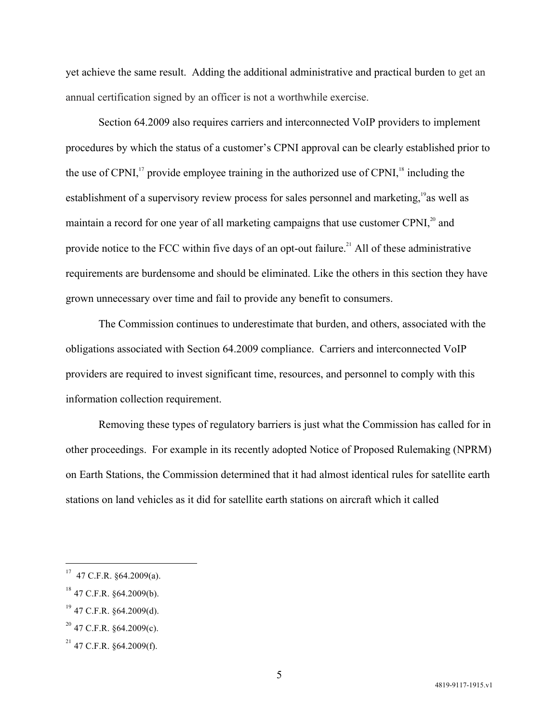yet achieve the same result. Adding the additional administrative and practical burden to get an annual certification signed by an officer is not a worthwhile exercise.

Section 64.2009 also requires carriers and interconnected VoIP providers to implement procedures by which the status of a customer's CPNI approval can be clearly established prior to the use of CPNI, $\frac{17}{12}$  provide employee training in the authorized use of CPNI, $\frac{18}{18}$  including the establishment of a supervisory review process for sales personnel and marketing,<sup>19</sup> as well as maintain a record for one year of all marketing campaigns that use customer CPNI,<sup>20</sup> and provide notice to the FCC within five days of an opt-out failure.<sup>21</sup> All of these administrative requirements are burdensome and should be eliminated. Like the others in this section they have grown unnecessary over time and fail to provide any benefit to consumers.

The Commission continues to underestimate that burden, and others, associated with the obligations associated with Section 64.2009 compliance. Carriers and interconnected VoIP providers are required to invest significant time, resources, and personnel to comply with this information collection requirement.

Removing these types of regulatory barriers is just what the Commission has called for in other proceedings. For example in its recently adopted Notice of Proposed Rulemaking (NPRM) on Earth Stations, the Commission determined that it had almost identical rules for satellite earth stations on land vehicles as it did for satellite earth stations on aircraft which it called

 $\overline{a}$ 

<sup>17</sup> 47 C.F.R. §64.2009(a).

 $^{18}$  47 C.F.R.  $864.2009(b)$ .

 $^{19}$  47 C.F.R. §64.2009(d).

 $^{20}$  47 C.F.R. §64.2009(c).

 $^{21}$  47 C.F.R. §64.2009(f).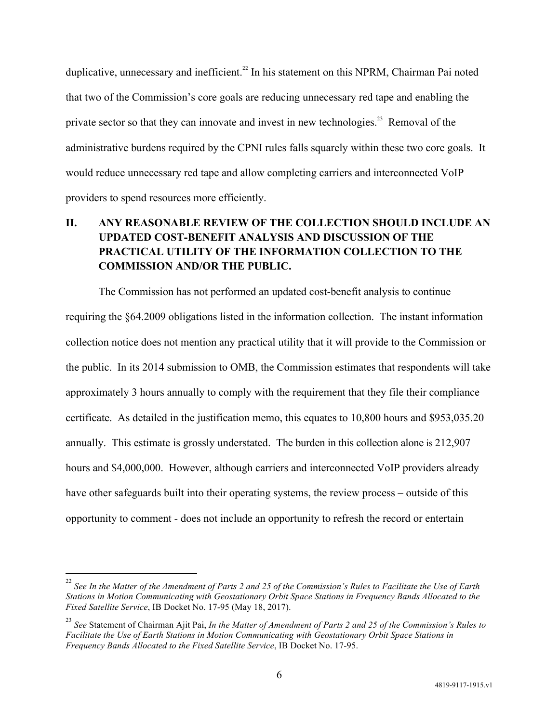duplicative, unnecessary and inefficient.<sup>22</sup> In his statement on this NPRM, Chairman Pai noted that two of the Commission's core goals are reducing unnecessary red tape and enabling the private sector so that they can innovate and invest in new technologies.<sup>23</sup> Removal of the administrative burdens required by the CPNI rules falls squarely within these two core goals. It would reduce unnecessary red tape and allow completing carriers and interconnected VoIP providers to spend resources more efficiently.

# **II. ANY REASONABLE REVIEW OF THE COLLECTION SHOULD INCLUDE AN UPDATED COST-BENEFIT ANALYSIS AND DISCUSSION OF THE PRACTICAL UTILITY OF THE INFORMATION COLLECTION TO THE COMMISSION AND/OR THE PUBLIC.**

The Commission has not performed an updated cost-benefit analysis to continue requiring the §64.2009 obligations listed in the information collection. The instant information collection notice does not mention any practical utility that it will provide to the Commission or the public. In its 2014 submission to OMB, the Commission estimates that respondents will take approximately 3 hours annually to comply with the requirement that they file their compliance certificate. As detailed in the justification memo, this equates to 10,800 hours and \$953,035.20 annually. This estimate is grossly understated. The burden in this collection alone is 212,907 hours and \$4,000,000. However, although carriers and interconnected VoIP providers already have other safeguards built into their operating systems, the review process – outside of this opportunity to comment - does not include an opportunity to refresh the record or entertain

 <sup>22</sup> *See In the Matter of the Amendment of Parts 2 and 25 of the Commission's Rules to Facilitate the Use of Earth Stations in Motion Communicating with Geostationary Orbit Space Stations in Frequency Bands Allocated to the Fixed Satellite Service*, IB Docket No. 17-95 (May 18, 2017).

<sup>23</sup> *See* Statement of Chairman Ajit Pai, *In the Matter of Amendment of Parts 2 and 25 of the Commission's Rules to Facilitate the Use of Earth Stations in Motion Communicating with Geostationary Orbit Space Stations in Frequency Bands Allocated to the Fixed Satellite Service*, IB Docket No. 17-95.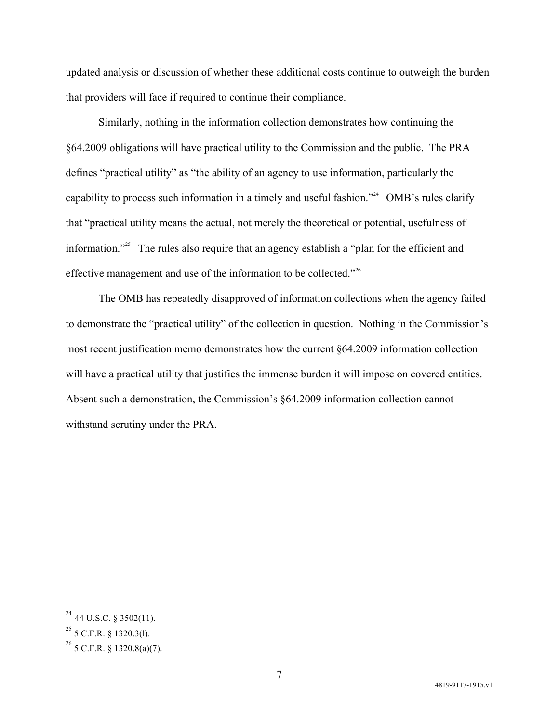updated analysis or discussion of whether these additional costs continue to outweigh the burden that providers will face if required to continue their compliance.

Similarly, nothing in the information collection demonstrates how continuing the §64.2009 obligations will have practical utility to the Commission and the public. The PRA defines "practical utility" as "the ability of an agency to use information, particularly the capability to process such information in a timely and useful fashion."<sup>24</sup> OMB's rules clarify that "practical utility means the actual, not merely the theoretical or potential, usefulness of information."<sup>25</sup> The rules also require that an agency establish a "plan for the efficient and effective management and use of the information to be collected."<sup>26</sup>

The OMB has repeatedly disapproved of information collections when the agency failed to demonstrate the "practical utility" of the collection in question. Nothing in the Commission's most recent justification memo demonstrates how the current §64.2009 information collection will have a practical utility that justifies the immense burden it will impose on covered entities. Absent such a demonstration, the Commission's §64.2009 information collection cannot withstand scrutiny under the PRA.

 $24$  44 U.S.C. § 3502(11).

 $25$  5 C.F.R. § 1320.3(l).

 $^{26}$  5 C.F.R. § 1320.8(a)(7).